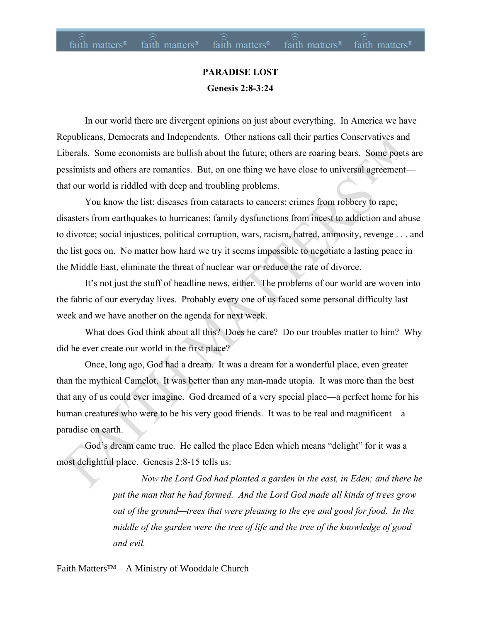#### **PARADISE LOST Genesis 2:8-3:24**

In our world there are divergent opinions on just about everything. In America we have Republicans, Democrats and Independents. Other nations call their parties Conservatives and Liberals. Some economists are bullish about the future; others are roaring bears. Some poets are pessimists and others are romantics. But, on one thing we have close to universal agreement that our world is riddled with deep and troubling problems.

You know the list: diseases from cataracts to cancers; crimes from robbery to rape; disasters from earthquakes to hurricanes; family dysfunctions from incest to addiction and abuse to divorce; social injustices, political corruption, wars, racism, hatred, animosity, revenge . . . and the list goes on. No matter how hard we try it seems impossible to negotiate a lasting peace in the Middle East, eliminate the threat of nuclear war or reduce the rate of divorce.

It's not just the stuff of headline news, either. The problems of our world are woven into the fabric of our everyday lives. Probably every one of us faced some personal difficulty last week and we have another on the agenda for next week.

What does God think about all this? Does he care? Do our troubles matter to him? Why did he ever create our world in the first place?

Once, long ago, God had a dream. It was a dream for a wonderful place, even greater than the mythical Camelot. It was better than any man-made utopia. It was more than the best that any of us could ever imagine. God dreamed of a very special place—a perfect home for his human creatures who were to be his very good friends. It was to be real and magnificent—a paradise on earth.

God's dream came true. He called the place Eden which means "delight" for it was a most delightful place. Genesis 2:8-15 tells us:

> *Now the Lord God had planted a garden in the east, in Eden; and there he put the man that he had formed. And the Lord God made all kinds of trees grow out of the ground—trees that were pleasing to the eye and good for food. In the middle of the garden were the tree of life and the tree of the knowledge of good and evil.*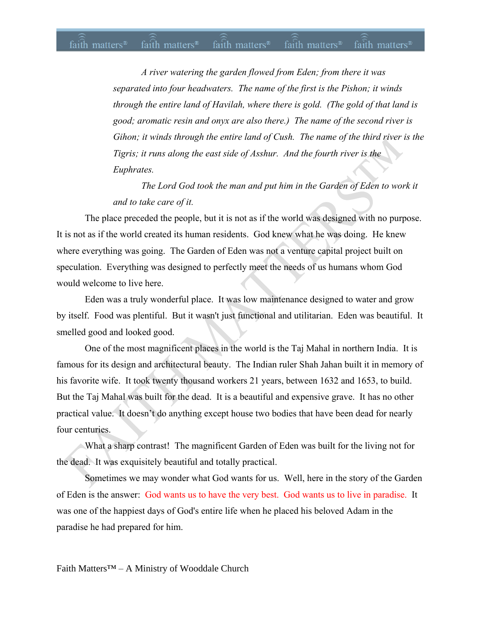#### $fa\hat{i}th$  matters<sup>®</sup> fa $\hat{i}th$  matters<sup>®</sup> fa $\hat{i}th$  matters® fa $\hat{i}th$  matters<sup>®</sup> faith matters<sup>®</sup>

*A river watering the garden flowed from Eden; from there it was separated into four headwaters. The name of the first is the Pishon; it winds through the entire land of Havilah, where there is gold. (The gold of that land is good; aromatic resin and onyx are also there.) The name of the second river is Gihon; it winds through the entire land of Cush. The name of the third river is the Tigris; it runs along the east side of Asshur. And the fourth river is the Euphrates.* 

*The Lord God took the man and put him in the Garden of Eden to work it and to take care of it.* 

The place preceded the people, but it is not as if the world was designed with no purpose. It is not as if the world created its human residents. God knew what he was doing. He knew where everything was going. The Garden of Eden was not a venture capital project built on speculation. Everything was designed to perfectly meet the needs of us humans whom God would welcome to live here.

Eden was a truly wonderful place. It was low maintenance designed to water and grow by itself. Food was plentiful. But it wasn't just functional and utilitarian. Eden was beautiful. It smelled good and looked good.

One of the most magnificent places in the world is the Taj Mahal in northern India. It is famous for its design and architectural beauty. The Indian ruler Shah Jahan built it in memory of his favorite wife. It took twenty thousand workers 21 years, between 1632 and 1653, to build. But the Taj Mahal was built for the dead. It is a beautiful and expensive grave. It has no other practical value. It doesn't do anything except house two bodies that have been dead for nearly four centuries.

What a sharp contrast! The magnificent Garden of Eden was built for the living not for the dead. It was exquisitely beautiful and totally practical.

Sometimes we may wonder what God wants for us. Well, here in the story of the Garden of Eden is the answer: God wants us to have the very best. God wants us to live in paradise. It was one of the happiest days of God's entire life when he placed his beloved Adam in the paradise he had prepared for him.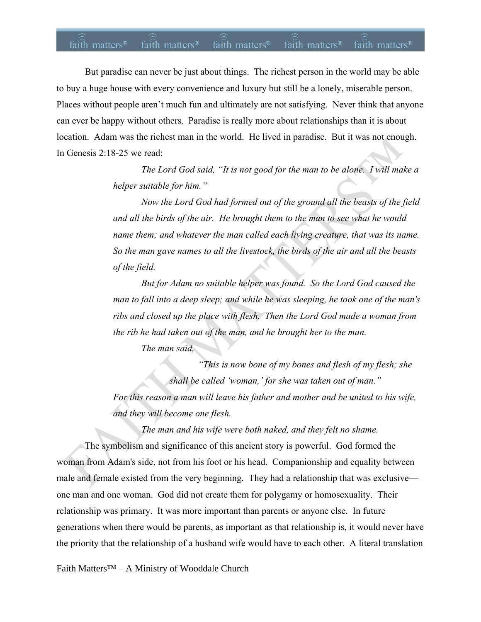#### faith matters<sup>®</sup> faith matters<sup>®</sup> faith matters<sup>®</sup> faith matters<sup>®</sup> faith matters<sup>®</sup>

But paradise can never be just about things. The richest person in the world may be able to buy a huge house with every convenience and luxury but still be a lonely, miserable person. Places without people aren't much fun and ultimately are not satisfying. Never think that anyone can ever be happy without others. Paradise is really more about relationships than it is about location. Adam was the richest man in the world. He lived in paradise. But it was not enough. In Genesis 2:18-25 we read:

> *The Lord God said, "It is not good for the man to be alone. I will make a helper suitable for him."*

> *Now the Lord God had formed out of the ground all the beasts of the field and all the birds of the air. He brought them to the man to see what he would name them; and whatever the man called each living creature, that was its name. So the man gave names to all the livestock, the birds of the air and all the beasts of the field.*

> *But for Adam no suitable helper was found. So the Lord God caused the man to fall into a deep sleep; and while he was sleeping, he took one of the man's ribs and closed up the place with flesh. Then the Lord God made a woman from the rib he had taken out of the man, and he brought her to the man. The man said,*

*"This is now bone of my bones and flesh of my flesh; she shall be called 'woman,' for she was taken out of man." For this reason a man will leave his father and mother and be united to his wife, and they will become one flesh.* 

*The man and his wife were both naked, and they felt no shame.* 

The symbolism and significance of this ancient story is powerful. God formed the woman from Adam's side, not from his foot or his head. Companionship and equality between male and female existed from the very beginning. They had a relationship that was exclusive one man and one woman. God did not create them for polygamy or homosexuality. Their relationship was primary. It was more important than parents or anyone else. In future generations when there would be parents, as important as that relationship is, it would never have the priority that the relationship of a husband wife would have to each other. A literal translation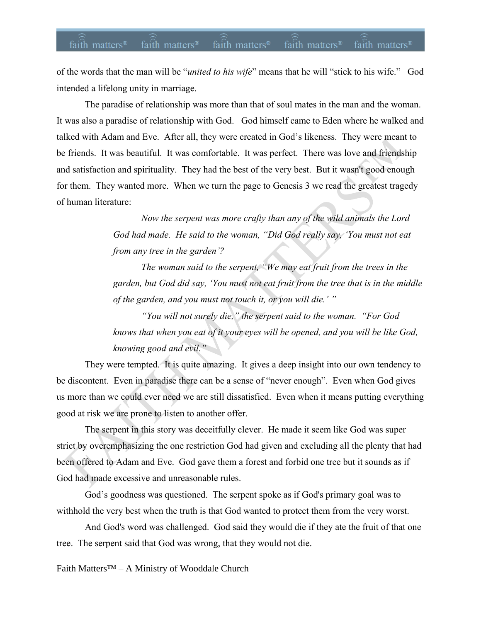## faith matters<sup>®</sup> faith matters<sup>®</sup> faith matters<sup>®</sup> faith matters<sup>®</sup> faith matters<sup>®</sup>

of the words that the man will be "*united to his wife*" means that he will "stick to his wife." God intended a lifelong unity in marriage.

The paradise of relationship was more than that of soul mates in the man and the woman. It was also a paradise of relationship with God. God himself came to Eden where he walked and talked with Adam and Eve. After all, they were created in God's likeness. They were meant to be friends. It was beautiful. It was comfortable. It was perfect. There was love and friendship and satisfaction and spirituality. They had the best of the very best. But it wasn't good enough for them. They wanted more. When we turn the page to Genesis 3 we read the greatest tragedy of human literature:

> *Now the serpent was more crafty than any of the wild animals the Lord God had made. He said to the woman, "Did God really say, 'You must not eat from any tree in the garden'?*

*The woman said to the serpent, "We may eat fruit from the trees in the garden, but God did say, 'You must not eat fruit from the tree that is in the middle of the garden, and you must not touch it, or you will die.' "*

*"You will not surely die," the serpent said to the woman. "For God knows that when you eat of it your eyes will be opened, and you will be like God, knowing good and evil."* 

They were tempted. It is quite amazing. It gives a deep insight into our own tendency to be discontent. Even in paradise there can be a sense of "never enough". Even when God gives us more than we could ever need we are still dissatisfied. Even when it means putting everything good at risk we are prone to listen to another offer.

The serpent in this story was deceitfully clever. He made it seem like God was super strict by overemphasizing the one restriction God had given and excluding all the plenty that had been offered to Adam and Eve. God gave them a forest and forbid one tree but it sounds as if God had made excessive and unreasonable rules.

God's goodness was questioned. The serpent spoke as if God's primary goal was to withhold the very best when the truth is that God wanted to protect them from the very worst.

And God's word was challenged. God said they would die if they ate the fruit of that one tree. The serpent said that God was wrong, that they would not die.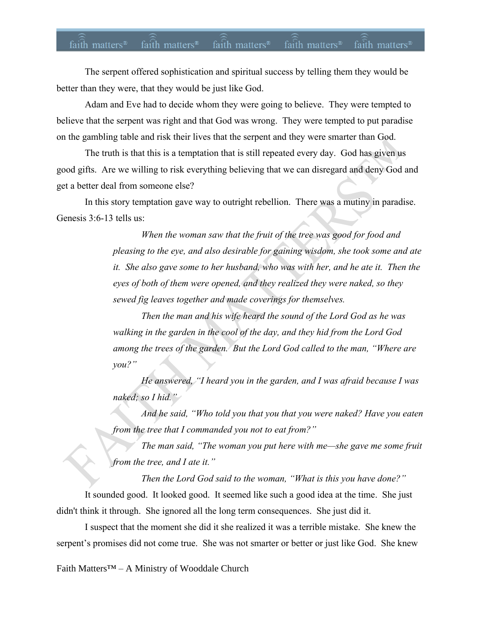# faith matters<sup>®</sup> faith matters<sup>®</sup> faith matters® faith matters® faith matters<sup>®</sup>

The serpent offered sophistication and spiritual success by telling them they would be better than they were, that they would be just like God.

Adam and Eve had to decide whom they were going to believe. They were tempted to believe that the serpent was right and that God was wrong. They were tempted to put paradise on the gambling table and risk their lives that the serpent and they were smarter than God.

The truth is that this is a temptation that is still repeated every day. God has given us good gifts. Are we willing to risk everything believing that we can disregard and deny God and get a better deal from someone else?

In this story temptation gave way to outright rebellion. There was a mutiny in paradise. Genesis 3:6-13 tells us:

> *When the woman saw that the fruit of the tree was good for food and pleasing to the eye, and also desirable for gaining wisdom, she took some and ate it. She also gave some to her husband, who was with her, and he ate it. Then the eyes of both of them were opened, and they realized they were naked, so they sewed fig leaves together and made coverings for themselves.*

*Then the man and his wife heard the sound of the Lord God as he was walking in the garden in the cool of the day, and they hid from the Lord God among the trees of the garden. But the Lord God called to the man, "Where are you?"*

*He answered, "I heard you in the garden, and I was afraid because I was naked; so I hid."*

*And he said, "Who told you that you that you were naked? Have you eaten from the tree that I commanded you not to eat from?"*

*The man said, "The woman you put here with me—she gave me some fruit from the tree, and I ate it."*

*Then the Lord God said to the woman, "What is this you have done?"*

It sounded good. It looked good. It seemed like such a good idea at the time. She just didn't think it through. She ignored all the long term consequences. She just did it.

I suspect that the moment she did it she realized it was a terrible mistake. She knew the serpent's promises did not come true. She was not smarter or better or just like God. She knew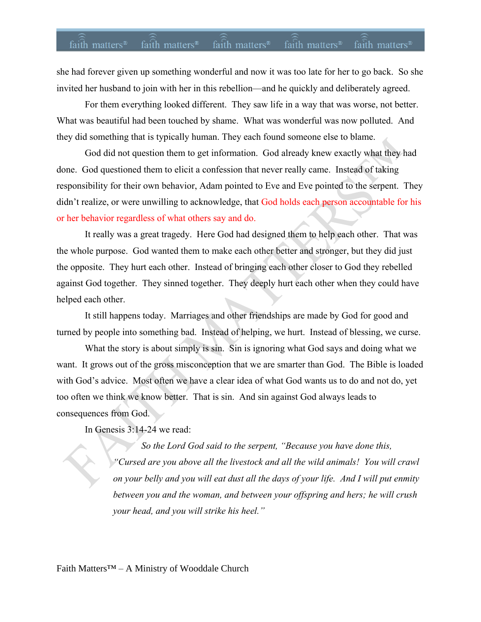## faith matters<sup>®</sup> faith matters<sup>®</sup> faith matters® faith matters® faith matters<sup>®</sup>

she had forever given up something wonderful and now it was too late for her to go back. So she invited her husband to join with her in this rebellion—and he quickly and deliberately agreed.

For them everything looked different. They saw life in a way that was worse, not better. What was beautiful had been touched by shame. What was wonderful was now polluted. And they did something that is typically human. They each found someone else to blame.

God did not question them to get information. God already knew exactly what they had done. God questioned them to elicit a confession that never really came. Instead of taking responsibility for their own behavior, Adam pointed to Eve and Eve pointed to the serpent. They didn't realize, or were unwilling to acknowledge, that God holds each person accountable for his or her behavior regardless of what others say and do.

It really was a great tragedy. Here God had designed them to help each other. That was the whole purpose. God wanted them to make each other better and stronger, but they did just the opposite. They hurt each other. Instead of bringing each other closer to God they rebelled against God together. They sinned together. They deeply hurt each other when they could have helped each other.

It still happens today. Marriages and other friendships are made by God for good and turned by people into something bad. Instead of helping, we hurt. Instead of blessing, we curse.

What the story is about simply is sin. Sin is ignoring what God says and doing what we want. It grows out of the gross misconception that we are smarter than God. The Bible is loaded with God's advice. Most often we have a clear idea of what God wants us to do and not do, yet too often we think we know better. That is sin. And sin against God always leads to consequences from God.

In Genesis 3:14-24 we read:

*So the Lord God said to the serpent, "Because you have done this, "Cursed are you above all the livestock and all the wild animals! You will crawl on your belly and you will eat dust all the days of your life. And I will put enmity between you and the woman, and between your offspring and hers; he will crush your head, and you will strike his heel."*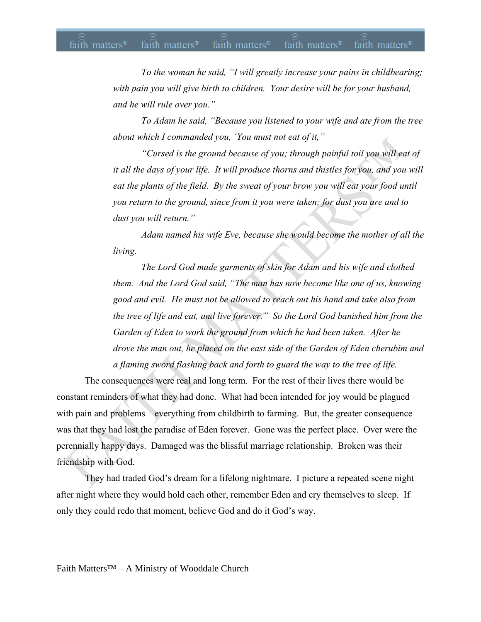#### faith matters<sup>®</sup> faith matters<sup>®</sup> faith matters<sup>®</sup> faith matters<sup>®</sup> faith matters<sup>®</sup>

*To the woman he said, "I will greatly increase your pains in childbearing; with pain you will give birth to children. Your desire will be for your husband, and he will rule over you."* 

*To Adam he said, "Because you listened to your wife and ate from the tree about which I commanded you, 'You must not eat of it,"*

*"Cursed is the ground because of you; through painful toil you will eat of it all the days of your life. It will produce thorns and thistles for you, and you will eat the plants of the field. By the sweat of your brow you will eat your food until you return to the ground, since from it you were taken; for dust you are and to dust you will return."* 

*Adam named his wife Eve, because she would become the mother of all the living.* 

*The Lord God made garments of skin for Adam and his wife and clothed them. And the Lord God said, "The man has now become like one of us, knowing good and evil. He must not be allowed to reach out his hand and take also from the tree of life and eat, and live forever." So the Lord God banished him from the Garden of Eden to work the ground from which he had been taken. After he drove the man out, he placed on the east side of the Garden of Eden cherubim and a flaming sword flashing back and forth to guard the way to the tree of life.*

The consequences were real and long term. For the rest of their lives there would be constant reminders of what they had done. What had been intended for joy would be plagued with pain and problems—everything from childbirth to farming. But, the greater consequence was that they had lost the paradise of Eden forever. Gone was the perfect place. Over were the perennially happy days. Damaged was the blissful marriage relationship. Broken was their friendship with God.

They had traded God's dream for a lifelong nightmare. I picture a repeated scene night after night where they would hold each other, remember Eden and cry themselves to sleep. If only they could redo that moment, believe God and do it God's way.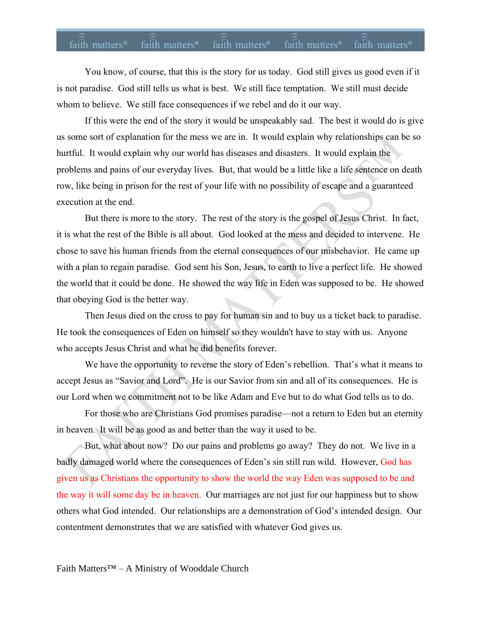## faith matters<sup>®</sup> faith matters<sup>®</sup> faith matters<sup>®</sup> faith matters<sup>®</sup> faith matters<sup>®</sup>

You know, of course, that this is the story for us today. God still gives us good even if it is not paradise. God still tells us what is best. We still face temptation. We still must decide whom to believe. We still face consequences if we rebel and do it our way.

If this were the end of the story it would be unspeakably sad. The best it would do is give us some sort of explanation for the mess we are in. It would explain why relationships can be so hurtful. It would explain why our world has diseases and disasters. It would explain the problems and pains of our everyday lives. But, that would be a little like a life sentence on death row, like being in prison for the rest of your life with no possibility of escape and a guaranteed execution at the end.

But there is more to the story. The rest of the story is the gospel of Jesus Christ. In fact, it is what the rest of the Bible is all about. God looked at the mess and decided to intervene. He chose to save his human friends from the eternal consequences of our misbehavior. He came up with a plan to regain paradise. God sent his Son, Jesus, to earth to live a perfect life. He showed the world that it could be done. He showed the way life in Eden was supposed to be. He showed that obeying God is the better way.

Then Jesus died on the cross to pay for human sin and to buy us a ticket back to paradise. He took the consequences of Eden on himself so they wouldn't have to stay with us. Anyone who accepts Jesus Christ and what he did benefits forever.

We have the opportunity to reverse the story of Eden's rebellion. That's what it means to accept Jesus as "Savior and Lord". He is our Savior from sin and all of its consequences. He is our Lord when we commitment not to be like Adam and Eve but to do what God tells us to do.

For those who are Christians God promises paradise—not a return to Eden but an eternity in heaven. It will be as good as and better than the way it used to be.

But, what about now? Do our pains and problems go away? They do not. We live in a badly damaged world where the consequences of Eden's sin still run wild. However, God has given us as Christians the opportunity to show the world the way Eden was supposed to be and the way it will some day be in heaven. Our marriages are not just for our happiness but to show others what God intended. Our relationships are a demonstration of God's intended design. Our contentment demonstrates that we are satisfied with whatever God gives us.